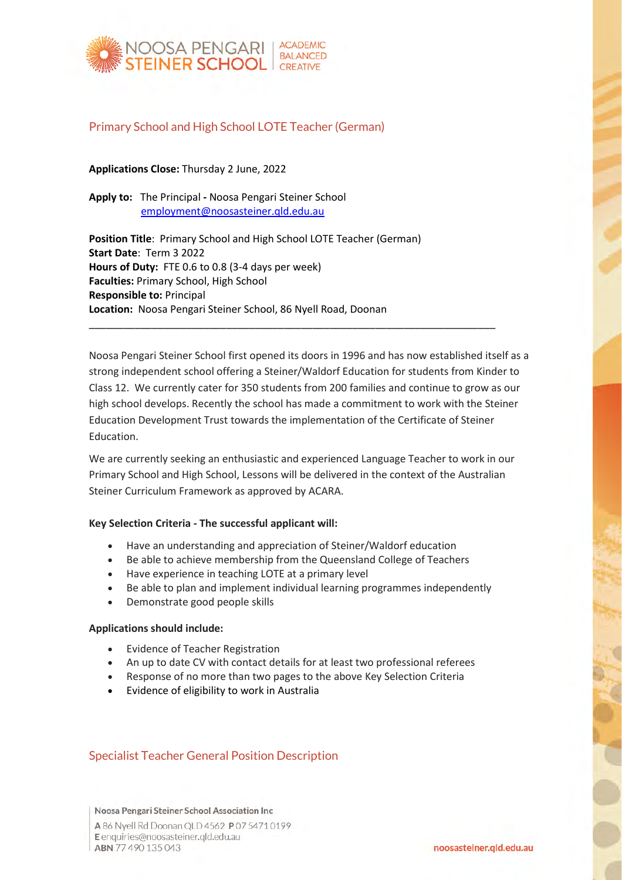

# Primary School and High School LOTE Teacher (German)

**Applications Close:** Thursday 2 June, 2022

**Apply to:** The Principal **-** Noosa Pengari Steiner School [employment@noosasteiner.qld.edu.au](mailto:employment@noosasteiner.qld.edu.au)

**Position Title**: Primary School and High School LOTE Teacher (German) **Start Date**: Term 3 2022 **Hours of Duty:** FTE 0.6 to 0.8 (3-4 days per week) **Faculties:** Primary School, High School **Responsible to:** Principal **Location:** Noosa Pengari Steiner School, 86 Nyell Road, Doonan

Noosa Pengari Steiner School first opened its doors in 1996 and has now established itself as a strong independent school offering a Steiner/Waldorf Education for students from Kinder to Class 12. We currently cater for 350 students from 200 families and continue to grow as our high school develops. Recently the school has made a commitment to work with the Steiner Education Development Trust towards the implementation of the Certificate of Steiner Education.

\_\_\_\_\_\_\_\_\_\_\_\_\_\_\_\_\_\_\_\_\_\_\_\_\_\_\_\_\_\_\_\_\_\_\_\_\_\_\_\_\_\_\_\_\_\_\_\_\_\_\_\_\_\_\_\_\_\_\_\_\_\_\_\_\_\_\_\_\_\_\_

We are currently seeking an enthusiastic and experienced Language Teacher to work in our Primary School and High School, Lessons will be delivered in the context of the Australian Steiner Curriculum Framework as approved by ACARA.

## **Key Selection Criteria - The successful applicant will:**

- Have an understanding and appreciation of Steiner/Waldorf education
- Be able to achieve membership from the Queensland College of Teachers
- Have experience in teaching LOTE at a primary level
- Be able to plan and implement individual learning programmes independently
- Demonstrate good people skills

#### **Applications should include:**

- Evidence of Teacher Registration
- An up to date CV with contact details for at least two professional referees
- Response of no more than two pages to the above Key Selection Criteria
- Evidence of eligibility to work in Australia

# Specialist Teacher General Position Description

Noosa Pengari Steiner School Association Inc

A 86 Nyell Rd Doonan QLD 4562 P 07 5471 0199 E enquiries@noosasteiner.gld.edu.au ABN 77 490 135 043